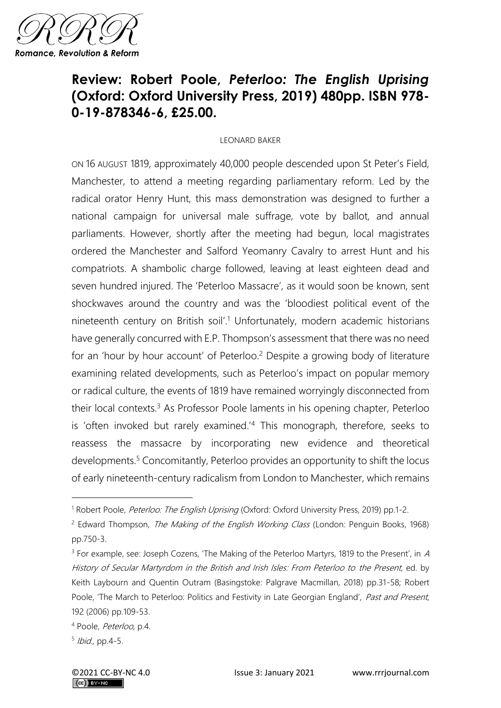

## **Review: Robert Poole,** *Peterloo: The English Uprising*  **(Oxford: Oxford University Press, 2019) 480pp. ISBN 978- 0-19-878346-6, £25.00.**

## LEONARD BAKER

ON 16 AUGUST 1819, approximately 40,000 people descended upon St Peter's Field, Manchester, to attend a meeting regarding parliamentary reform. Led by the radical orator Henry Hunt, this mass demonstration was designed to further a national campaign for universal male suffrage, vote by ballot, and annual parliaments. However, shortly after the meeting had begun, local magistrates ordered the Manchester and Salford Yeomanry Cavalry to arrest Hunt and his compatriots. A shambolic charge followed, leaving at least eighteen dead and seven hundred injured. The 'Peterloo Massacre', as it would soon be known, sent shockwaves around the country and was the 'bloodiest political event of the nineteenth century on British soil'. <sup>1</sup> Unfortunately, modern academic historians have generally concurred with E.P. Thompson's assessment that there was no need for an 'hour by hour account' of Peterloo.<sup>2</sup> Despite a growing body of literature examining related developments, such as Peterloo's impact on popular memory or radical culture, the events of 1819 have remained worryingly disconnected from their local contexts.<sup>3</sup> As Professor Poole laments in his opening chapter, Peterloo is 'often invoked but rarely examined.'<sup>4</sup> This monograph, therefore, seeks to reassess the massacre by incorporating new evidence and theoretical developments.<sup>5</sup> Concomitantly, Peterloo provides an opportunity to shift the locus of early nineteenth-century radicalism from London to Manchester, which remains

<sup>&</sup>lt;sup>1</sup> Robert Poole, *Peterloo: The English Uprising* (Oxford: Oxford University Press, 2019) pp.1-2.

<sup>&</sup>lt;sup>2</sup> Edward Thompson, *The Making of the English Working Class* (London: Penguin Books, 1968) pp.750-3.

<sup>&</sup>lt;sup>3</sup> For example, see: Joseph Cozens, 'The Making of the Peterloo Martyrs, 1819 to the Present', in A History of Secular Martyrdom in the British and Irish Isles: From Peterloo to the Present, ed. by Keith Laybourn and Quentin Outram (Basingstoke: Palgrave Macmillan, 2018) pp.31-58; Robert Poole, 'The March to Peterloo: Politics and Festivity in Late Georgian England', Past and Present, 192 (2006) pp.109-53.

<sup>4</sup> Poole, Peterloo, p.4.

<sup>&</sup>lt;sup>5</sup> Ibid., pp.4-5.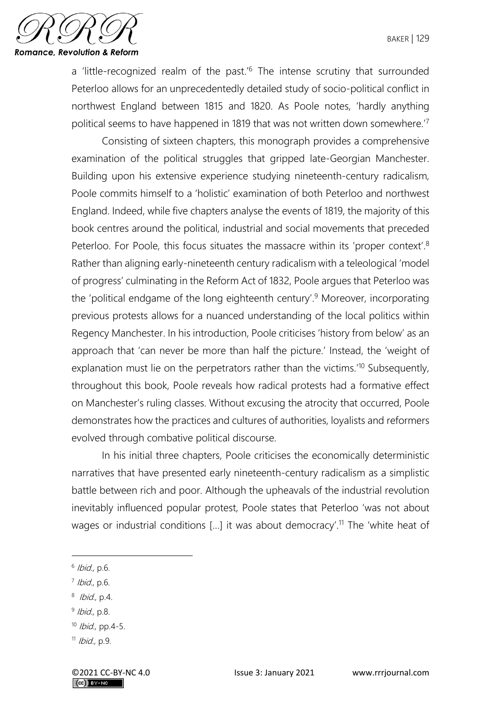

a 'little-recognized realm of the past.'<sup>6</sup> The intense scrutiny that surrounded Peterloo allows for an unprecedentedly detailed study of socio-political conflict in northwest England between 1815 and 1820. As Poole notes, 'hardly anything political seems to have happened in 1819 that was not written down somewhere.'<sup>7</sup>

Consisting of sixteen chapters, this monograph provides a comprehensive examination of the political struggles that gripped late-Georgian Manchester. Building upon his extensive experience studying nineteenth-century radicalism, Poole commits himself to a 'holistic' examination of both Peterloo and northwest England. Indeed, while five chapters analyse the events of 1819, the majority of this book centres around the political, industrial and social movements that preceded Peterloo. For Poole, this focus situates the massacre within its 'proper context'.<sup>8</sup> Rather than aligning early-nineteenth century radicalism with a teleological 'model of progress' culminating in the Reform Act of 1832, Poole argues that Peterloo was the 'political endgame of the long eighteenth century'.<sup>9</sup> Moreover, incorporating previous protests allows for a nuanced understanding of the local politics within Regency Manchester. In his introduction, Poole criticises 'history from below' as an approach that 'can never be more than half the picture.' Instead, the 'weight of explanation must lie on the perpetrators rather than the victims.<sup>'10</sup> Subsequently, throughout this book, Poole reveals how radical protests had a formative effect on Manchester's ruling classes. Without excusing the atrocity that occurred, Poole demonstrates how the practices and cultures of authorities, loyalists and reformers evolved through combative political discourse.

In his initial three chapters, Poole criticises the economically deterministic narratives that have presented early nineteenth-century radicalism as a simplistic battle between rich and poor. Although the upheavals of the industrial revolution inevitably influenced popular protest, Poole states that Peterloo 'was not about wages or industrial conditions […] it was about democracy'. <sup>11</sup> The 'white heat of

<sup>&</sup>lt;sup>6</sup> Ibid., p.6.

<sup>&</sup>lt;sup>7</sup> Ibid., p.6.

<sup>&</sup>lt;sup>8</sup> *Ibid.*, p.4.

<sup>&</sup>lt;sup>9</sup> Ibid., p.8.

 $10$  *Ibid.*, pp. 4-5.

 $11$  *Ibid.*, p.9.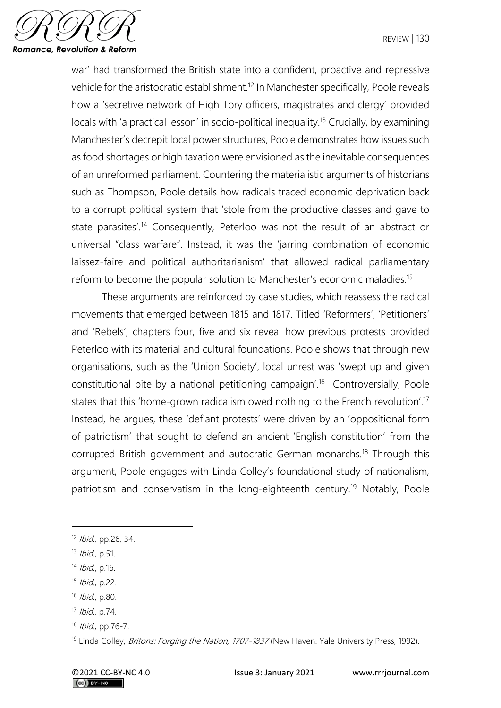

war' had transformed the British state into a confident, proactive and repressive vehicle for the aristocratic establishment.<sup>12</sup> In Manchester specifically, Poole reveals how a 'secretive network of High Tory officers, magistrates and clergy' provided locals with 'a practical lesson' in socio-political inequality.<sup>13</sup> Crucially, by examining Manchester's decrepit local power structures, Poole demonstrates how issues such as food shortages or high taxation were envisioned as the inevitable consequences of an unreformed parliament. Countering the materialistic arguments of historians such as Thompson, Poole details how radicals traced economic deprivation back to a corrupt political system that 'stole from the productive classes and gave to state parasites'.<sup>14</sup> Consequently, Peterloo was not the result of an abstract or universal "class warfare". Instead, it was the 'jarring combination of economic laissez-faire and political authoritarianism' that allowed radical parliamentary reform to become the popular solution to Manchester's economic maladies.<sup>15</sup>

These arguments are reinforced by case studies, which reassess the radical movements that emerged between 1815 and 1817. Titled 'Reformers', 'Petitioners' and 'Rebels', chapters four, five and six reveal how previous protests provided Peterloo with its material and cultural foundations. Poole shows that through new organisations, such as the 'Union Society', local unrest was 'swept up and given constitutional bite by a national petitioning campaign'.<sup>16</sup> Controversially, Poole states that this 'home-grown radicalism owed nothing to the French revolution'.<sup>17</sup> Instead, he argues, these 'defiant protests' were driven by an 'oppositional form of patriotism' that sought to defend an ancient 'English constitution' from the corrupted British government and autocratic German monarchs.<sup>18</sup> Through this argument, Poole engages with Linda Colley's foundational study of nationalism, patriotism and conservatism in the long-eighteenth century.<sup>19</sup> Notably, Poole

<sup>&</sup>lt;sup>12</sup> *Ibid.*, pp.26, 34.

<sup>13</sup> Ibid., p.51.

<sup>14</sup> Ibid., p.16.

<sup>15</sup> Ibid., p.22.

 $16$  *Ibid.*, p.80.

<sup>17</sup> Ibid., p.74.

<sup>18</sup> *Ibid.*, pp.76-7.

<sup>&</sup>lt;sup>19</sup> Linda Colley, *Britons: Forging the Nation, 1707-1837* (New Haven: Yale University Press, 1992).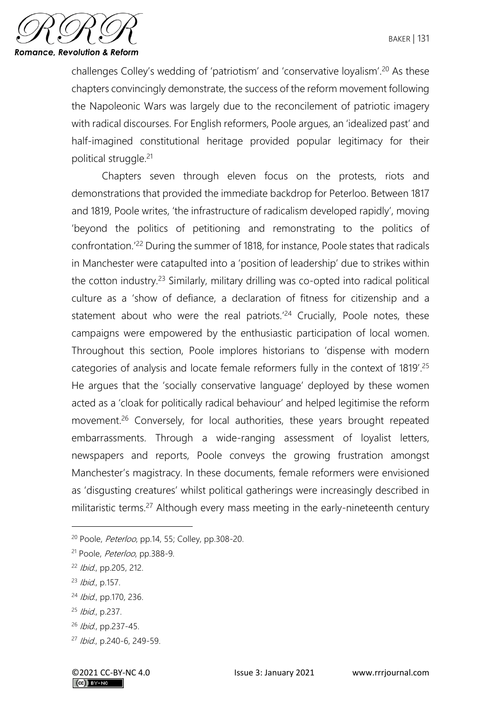

challenges Colley's wedding of 'patriotism' and 'conservative loyalism'.<sup>20</sup> As these chapters convincingly demonstrate, the success of the reform movement following the Napoleonic Wars was largely due to the reconcilement of patriotic imagery with radical discourses. For English reformers, Poole argues, an 'idealized past' and half-imagined constitutional heritage provided popular legitimacy for their political struggle.<sup>21</sup>

Chapters seven through eleven focus on the protests, riots and demonstrations that provided the immediate backdrop for Peterloo. Between 1817 and 1819, Poole writes, 'the infrastructure of radicalism developed rapidly', moving 'beyond the politics of petitioning and remonstrating to the politics of confrontation.'<sup>22</sup> During the summer of 1818, for instance, Poole states that radicals in Manchester were catapulted into a 'position of leadership' due to strikes within the cotton industry.<sup>23</sup> Similarly, military drilling was co-opted into radical political culture as a 'show of defiance, a declaration of fitness for citizenship and a statement about who were the real patriots.<sup>'24</sup> Crucially, Poole notes, these campaigns were empowered by the enthusiastic participation of local women. Throughout this section, Poole implores historians to 'dispense with modern categories of analysis and locate female reformers fully in the context of 1819'.<sup>25</sup> He argues that the 'socially conservative language' deployed by these women acted as a 'cloak for politically radical behaviour' and helped legitimise the reform movement.<sup>26</sup> Conversely, for local authorities, these years brought repeated embarrassments. Through a wide-ranging assessment of loyalist letters, newspapers and reports, Poole conveys the growing frustration amongst Manchester's magistracy. In these documents, female reformers were envisioned as 'disgusting creatures' whilst political gatherings were increasingly described in militaristic terms.<sup>27</sup> Although every mass meeting in the early-nineteenth century

<sup>23</sup> Ibid., p.157.

<sup>25</sup> Ibid., p.237.

<sup>&</sup>lt;sup>20</sup> Poole, *Peterloo*, pp.14, 55; Colley, pp.308-20.

<sup>&</sup>lt;sup>21</sup> Poole, *Peterloo*, pp.388-9.

<sup>22</sup> Ibid., pp.205, 212.

<sup>24</sup> Ibid., pp.170, 236.

<sup>26</sup> Ibid., pp.237-45.

<sup>27</sup> Ibid., p.240-6, 249-59.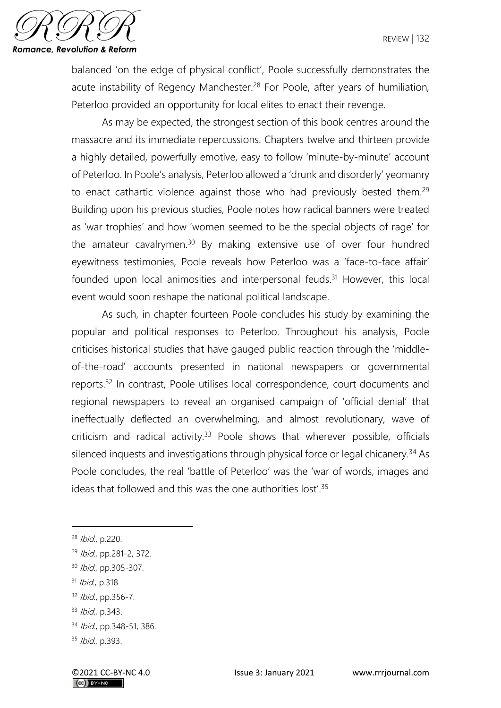

balanced 'on the edge of physical conflict', Poole successfully demonstrates the acute instability of Regency Manchester.<sup>28</sup> For Poole, after years of humiliation, Peterloo provided an opportunity for local elites to enact their revenge.

As may be expected, the strongest section of this book centres around the massacre and its immediate repercussions. Chapters twelve and thirteen provide a highly detailed, powerfully emotive, easy to follow 'minute-by-minute' account of Peterloo. In Poole's analysis, Peterloo allowed a 'drunk and disorderly' yeomanry to enact cathartic violence against those who had previously bested them.<sup>29</sup> Building upon his previous studies, Poole notes how radical banners were treated as 'war trophies' and how 'women seemed to be the special objects of rage' for the amateur cavalrymen.<sup>30</sup> By making extensive use of over four hundred eyewitness testimonies, Poole reveals how Peterloo was a 'face-to-face affair' founded upon local animosities and interpersonal feuds.<sup>31</sup> However, this local event would soon reshape the national political landscape.

As such, in chapter fourteen Poole concludes his study by examining the popular and political responses to Peterloo. Throughout his analysis, Poole criticises historical studies that have gauged public reaction through the 'middleof-the-road' accounts presented in national newspapers or governmental reports.<sup>32</sup> In contrast, Poole utilises local correspondence, court documents and regional newspapers to reveal an organised campaign of 'official denial' that ineffectually deflected an overwhelming, and almost revolutionary, wave of criticism and radical activity.<sup>33</sup> Poole shows that wherever possible, officials silenced inquests and investigations through physical force or legal chicanery.<sup>34</sup> As Poole concludes, the real 'battle of Peterloo' was the 'war of words, images and ideas that followed and this was the one authorities lost'.<sup>35</sup>

<sup>28</sup> Ibid., p.220.

<sup>29</sup> Ibid., pp.281-2, 372.

<sup>30</sup> Ibid., pp.305-307.

<sup>31</sup> Ibid., p.318

 $32$  *Ibid.*, pp. 356-7.

<sup>33</sup> *Ibid.*, p.343.

<sup>34</sup> *Ibid.*, pp.348-51, 386.

 $35$  *Ibid.*, p.393.